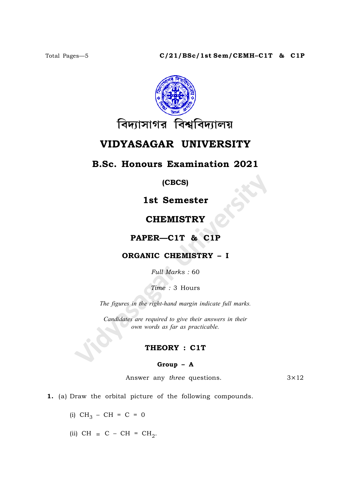

# VIDYASAGAR UNIVERSITY

## B.Sc. Honours Examination 2021

### (CBCS)

## 1st Semester

## **CHEMISTRY**

## PAPER—C1T & C1P

### ORGANIC CHEMISTRY – I

Full Marks : 60

Time : 3 Hours

The figures in the right-hand margin indicate full marks.

Candidates are required to give their answers in their own words as far as practicable.

### THEORY : C1T

#### Group – A

Answer any *three* questions.  $3 \times 12$ 

1. (a) Draw the orbital picture of the following compounds.

- (i)  $CH_3 CH = C = 0$
- (ii) CH  $\equiv$  C CH = CH<sub>2</sub>.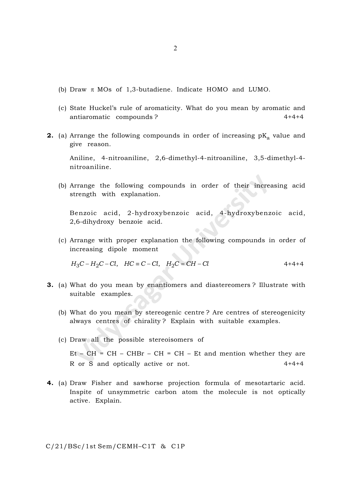- (b) Draw  $\pi$  MOs of 1,3-butadiene. Indicate HOMO and LUMO.
- (c) State Huckel's rule of aromaticity. What do you mean by aromatic and antiaromatic compounds ? 4+4+4
- **2.** (a) Arrange the following compounds in order of increasing  $\mathbf{p} \mathbf{K}_\mathbf{a}$  value and give reason.

Aniline, 4-nitroaniline, 2,6-dimethyl-4-nitroaniline, 3,5-dimethyl-4 nitroaniline.

(b) Arrange the following compounds in order of their increasing acid strength with explanation.

Benzoic acid, 2-hydroxybenzoic acid, 4-hydroxybenzoic acid, 2,6-dihydroxy benzoie acid.

(c) Arrange with proper explanation the following compounds in order of increasing dipole moment

$$
H_3C - H_2C - Cl, \quad HC \equiv C - Cl, \quad H_2C = CH - Cl \tag{4+4+4}
$$

- 3. (a) What do you mean by enantiomers and diastereomers ? Illustrate with suitable examples.
	- (b) What do you mean by stereogenic centre ? Are centres of stereogenicity always centres of chirality ? Explain with suitable examples.
	- (c) Draw all the possible stereoisomers of

 $Et - CH = CH - CHBr - CH = CH - Et$  and mention whether they are R or S and optically active or not. 4+4+4

4. (a) Draw Fisher and sawhorse projection formula of mesotartaric acid. Inspite of unsymmetric carbon atom the molecule is not optically active. Explain.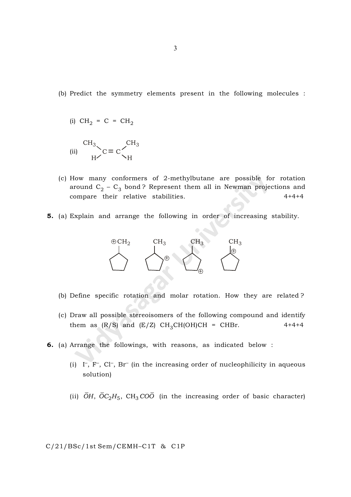(b) Predict the symmetry elements present in the following molecules :

$$
(i) \quad CH_2 = C = CH_2
$$

$$
\begin{array}{cc}\n\text{CH}_3 \\
\text{(ii)} & \text{H} & \text{C} = \text{C} \diagdown_{\text{H}} \\
\text{H} & \text{H}\n\end{array}
$$

- (c) How many conformers of 2-methylbutane are possible for rotation around  $\mathrm{C}_2$  –  $\mathrm{C}_3$  bond? Represent them all in Newman projections and compare their relative stabilities. 4+4+4
- 5. (a) Explain and arrange the following in order of increasing stability.



- (b) Define specific rotation and molar rotation. How they are related ?
- (c) Draw all possible stereoisomers of the following compound and identify them as  $(R/S)$  and  $(E/Z)$  CH<sub>3</sub>CH(OH)CH = CHBr. 4+4+4
- 6. (a) Arrange the followings, with reasons, as indicated below :
	- (i)  $\Gamma$ ,  $\Gamma$ <sup>-</sup>, Cl<sup>-</sup>, Br<sup>-</sup> (in the increasing order of nucleophilicity in aqueous solution)
	- (ii)  $\overline{O}H$ ,  $\overline{O}C_2H_5$ , CH<sub>3</sub>CO<sub>O</sub> (in the increasing order of basic character)

C/21/BSc/1st Sem/CEMH–C1T & C1P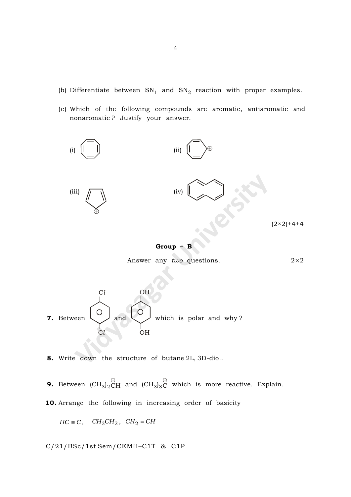- (b) Differentiate between  $\text{SN}_{1}$  and  $\text{SN}_{2}$  reaction with proper examples.
- (c) Which of the following compounds are aromatic, antiaromatic and nonaromatic ? Justify your answer.



$$
Group - B
$$

Answer any two questions.  $2 \times 2$ 



8. Write down the structure of butane 2L, 3D-diol.

**9.** Between  $(\mathrm{CH}_3)_2 \mathrm{\check{C}}$ H  $\widehat{z}$ and  $(\mathrm{CH}_3)_3$ C <u>ີ</u> which is more reactive. Explain.

10. Arrange the following in increasing order of basicity

$$
HC \equiv \overline{C}, \quad CH_3\overline{C}H_2, \quad CH_2 = \overline{C}H
$$

C/21/BSc/1st Sem/CEMH–C1T & C1P